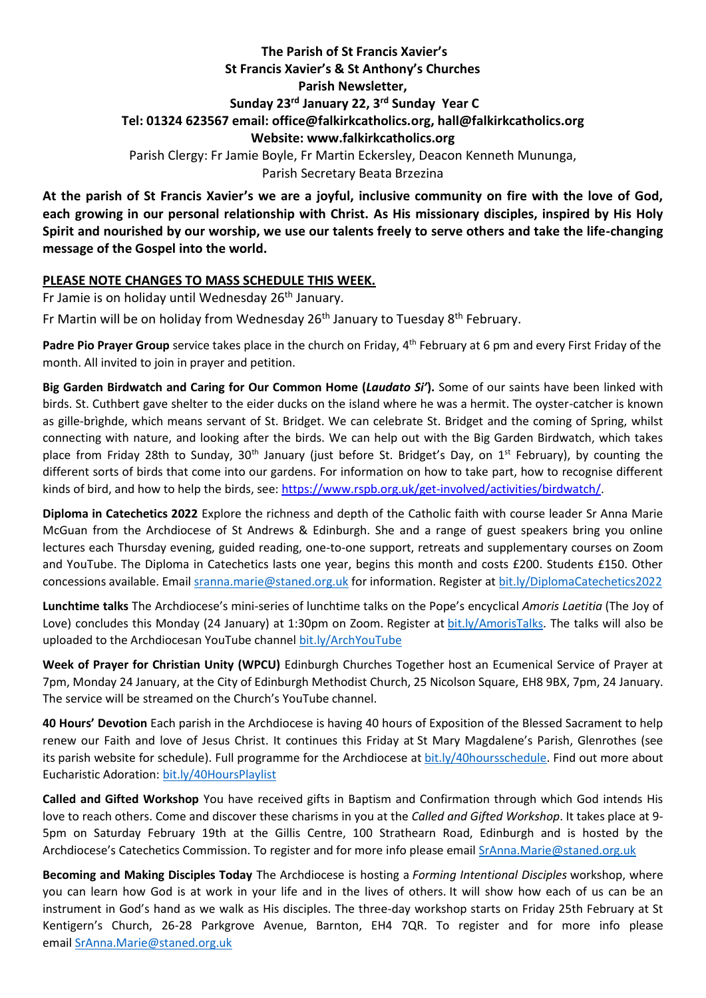# **The Parish of St Francis Xavier's St Francis Xavier's & St Anthony's Churches Parish Newsletter, Sunday 23rd January 22, 3 rd Sunday Year C Tel: 01324 623567 email: office@falkirkcatholics.org, [hall@falkirkcatholics.org](mailto:hall@falkirkcatholics.org) Website: [www.falkirkcatholics.org](http://www.falkirkcatholics.org/)**  Parish Clergy: Fr Jamie Boyle, Fr Martin Eckersley, Deacon Kenneth Mununga, Parish Secretary Beata Brzezina

**At the parish of St Francis Xavier's we are a joyful, inclusive community on fire with the love of God, each growing in our personal relationship with Christ. As His missionary disciples, inspired by His Holy Spirit and nourished by our worship, we use our talents freely to serve others and take the life-changing message of the Gospel into the world.** 

## **PLEASE NOTE CHANGES TO MASS SCHEDULE THIS WEEK.**

Fr Jamie is on holiday until Wednesday 26<sup>th</sup> January.

Fr Martin will be on holiday from Wednesday 26<sup>th</sup> January to Tuesday 8<sup>th</sup> February.

Padre Pio Prayer Group service takes place in the church on Friday, 4<sup>th</sup> February at 6 pm and every First Friday of the month. All invited to join in prayer and petition.

**Big Garden Birdwatch and Caring for Our Common Home (***Laudato Si'***).** Some of our saints have been linked with birds. St. Cuthbert gave shelter to the eider ducks on the island where he was a hermit. The oyster-catcher is known as gille-brìghde, which means servant of St. Bridget. We can celebrate St. Bridget and the coming of Spring, whilst connecting with nature, and looking after the birds. We can help out with the Big Garden Birdwatch, which takes place from Friday 28th to Sunday, 30<sup>th</sup> January (just before St. Bridget's Day, on 1<sup>st</sup> February), by counting the different sorts of birds that come into our gardens. For information on how to take part, how to recognise different kinds of bird, and how to help the birds, see[: https://www.rspb.org.uk/get-involved/activities/birdwatch/.](https://www.rspb.org.uk/get-involved/activities/birdwatch/)

**Diploma in Catechetics 2022** Explore the richness and depth of the Catholic faith with course leader Sr Anna Marie McGuan from the Archdiocese of St Andrews & Edinburgh. She and a range of guest speakers bring you online lectures each Thursday evening, guided reading, one-to-one support, retreats and supplementary courses on Zoom and YouTube. The Diploma in Catechetics lasts one year, begins this month and costs £200. Students £150. Other concessions available. Email [sranna.marie@staned.org.uk](https://emea01.safelinks.protection.outlook.com/?url=https%3A%2F%2Fmailto%3Asranna.marie%40staned.org.uk%2F&data=04%7C01%7C%7Cc57bc7b1a491426d9de808d9db59c6dd%7C84df9e7fe9f640afb435aaaaaaaaaaaa%7C1%7C0%7C637782001076685620%7CUnknown%7CTWFpbGZsb3d8eyJWIjoiMC4wLjAwMDAiLCJQIjoiV2luMzIiLCJBTiI6Ik1haWwiLCJXVCI6Mn0%3D%7C3000&sdata=lP9fu2eny9LksmuBqyqkyitZfVoI0AkEK%2F1f0Sn%2FPsk%3D&reserved=0) for information. Register at [bit.ly/DiplomaCatechetics2022](https://emea01.safelinks.protection.outlook.com/?url=https%3A%2F%2Fwww.eventbrite.co.uk%2Fe%2Fdiploma-in-catechetics-2022-tickets-224601909357&data=04%7C01%7C%7Cc57bc7b1a491426d9de808d9db59c6dd%7C84df9e7fe9f640afb435aaaaaaaaaaaa%7C1%7C0%7C637782001076685620%7CUnknown%7CTWFpbGZsb3d8eyJWIjoiMC4wLjAwMDAiLCJQIjoiV2luMzIiLCJBTiI6Ik1haWwiLCJXVCI6Mn0%3D%7C3000&sdata=8qcD6QkdhoI4JnnITIKj0wRMu1RCGPdkcYW6O%2ByUwxI%3D&reserved=0)

**Lunchtime talks** The Archdiocese's mini-series of lunchtime talks on the Pope's encyclical *Amoris Laetitia* (The Joy of Love) concludes this Monday (24 January) at 1:30pm on Zoom. Register at [bit.ly/AmorisTalks.](https://emea01.safelinks.protection.outlook.com/?url=https%3A%2F%2Fbit.ly%2FAmorisTalks%3Ffbclid%3DIwAR3p4sFb975tmA7ad_w-s3Hl372Vv24WAKbaE-7juQaq_LwrH3niK8HVWtY&data=04%7C01%7C%7Cc57bc7b1a491426d9de808d9db59c6dd%7C84df9e7fe9f640afb435aaaaaaaaaaaa%7C1%7C0%7C637782001076685620%7CUnknown%7CTWFpbGZsb3d8eyJWIjoiMC4wLjAwMDAiLCJQIjoiV2luMzIiLCJBTiI6Ik1haWwiLCJXVCI6Mn0%3D%7C3000&sdata=jCM5m3%2FeH%2BzhW06i2s2wh1xvSM7sg4lF4BETUYym%2FkE%3D&reserved=0) The talks will also be uploaded to the Archdiocesan YouTube channel [bit.ly/ArchYouTube](https://emea01.safelinks.protection.outlook.com/?url=https%3A%2F%2Fwww.youtube.com%2Fchannel%2FUCpeWTFr87oQNpdWGgv_G9bw%2Fvideos&data=04%7C01%7C%7Cc57bc7b1a491426d9de808d9db59c6dd%7C84df9e7fe9f640afb435aaaaaaaaaaaa%7C1%7C0%7C637782001076685620%7CUnknown%7CTWFpbGZsb3d8eyJWIjoiMC4wLjAwMDAiLCJQIjoiV2luMzIiLCJBTiI6Ik1haWwiLCJXVCI6Mn0%3D%7C3000&sdata=KQrF%2BN1OGAuGmIeBv2c2kCe1Ccs15HUx0jNcJLfvT%2FY%3D&reserved=0)

**Week of Prayer for Christian Unity (WPCU)** Edinburgh Churches Together host an Ecumenical Service of Prayer at 7pm, Monday 24 January, at the City of Edinburgh Methodist Church, 25 Nicolson Square, EH8 9BX, 7pm, 24 January. The service will be streamed on the Church's YouTube channel.

**40 Hours' Devotion** Each parish in the Archdiocese is having 40 hours of Exposition of the Blessed Sacrament to help renew our Faith and love of Jesus Christ. It continues this Friday at St Mary Magdalene's Parish, Glenrothes (see its parish website for schedule). Full programme for the Archdiocese at [bit.ly/40hoursschedule.](https://emea01.safelinks.protection.outlook.com/?url=https%3A%2F%2Fbit.ly%2F40hoursschedule%3Ffbclid%3DIwAR2SjJ2jLYhcQumxKK24uHJHDu0y-uda3HFzPBQ4uxFkH3KVV6pbMOMH8xU&data=04%7C01%7C%7Cc57bc7b1a491426d9de808d9db59c6dd%7C84df9e7fe9f640afb435aaaaaaaaaaaa%7C1%7C0%7C637782001076685620%7CUnknown%7CTWFpbGZsb3d8eyJWIjoiMC4wLjAwMDAiLCJQIjoiV2luMzIiLCJBTiI6Ik1haWwiLCJXVCI6Mn0%3D%7C3000&sdata=qMwFypxIEvvbBw2Y4lplzUlpHlYQCHUi6LaXHcbemMY%3D&reserved=0) Find out more about Eucharistic Adoration: [bit.ly/40HoursPlaylist](https://emea01.safelinks.protection.outlook.com/?url=https%3A%2F%2Fwww.youtube.com%2Fplaylist%3Flist%3DPLQv_xMj23KQhTlXah0pBiYjsZDFx2grae&data=04%7C01%7C%7Cc57bc7b1a491426d9de808d9db59c6dd%7C84df9e7fe9f640afb435aaaaaaaaaaaa%7C1%7C0%7C637782001076685620%7CUnknown%7CTWFpbGZsb3d8eyJWIjoiMC4wLjAwMDAiLCJQIjoiV2luMzIiLCJBTiI6Ik1haWwiLCJXVCI6Mn0%3D%7C3000&sdata=1W4heFX3D1jFaHrY0MjrjRMDQT2XjCRvtH9A549gsQE%3D&reserved=0)

**Called and Gifted Workshop** You have received gifts in Baptism and Confirmation through which God intends His love to reach others. Come and discover these charisms in you at the *Called and Gifted Workshop*. It takes place at 9- 5pm on Saturday February 19th at the Gillis Centre, 100 Strathearn Road, Edinburgh and is hosted by the Archdiocese's Catechetics Commission. To register and for more info please email [SrAnna.Marie@staned.org.uk](https://emea01.safelinks.protection.outlook.com/?url=https%3A%2F%2Fmailto%3ASrAnna.Marie%40staned.org.uk%2F&data=04%7C01%7C%7Cc57bc7b1a491426d9de808d9db59c6dd%7C84df9e7fe9f640afb435aaaaaaaaaaaa%7C1%7C0%7C637782001076685620%7CUnknown%7CTWFpbGZsb3d8eyJWIjoiMC4wLjAwMDAiLCJQIjoiV2luMzIiLCJBTiI6Ik1haWwiLCJXVCI6Mn0%3D%7C3000&sdata=7uU7hj%2Ft%2FjtpoG2xiqRJ6RUhTHXXiVh7h7xJSwQ0DMs%3D&reserved=0)

**Becoming and Making Disciples Today** The Archdiocese is hosting a *Forming Intentional Disciples* workshop, where you can learn how God is at work in your life and in the lives of others. It will show how each of us can be an instrument in God's hand as we walk as His disciples. The three-day workshop starts on Friday 25th February at St Kentigern's Church, 26-28 Parkgrove Avenue, Barnton, EH4 7QR. To register and for more info please email [SrAnna.Marie@staned.org.uk](https://emea01.safelinks.protection.outlook.com/?url=https%3A%2F%2Fmailto%3ASrAnna.Marie%40staned.org.uk%2F&data=04%7C01%7C%7Cc57bc7b1a491426d9de808d9db59c6dd%7C84df9e7fe9f640afb435aaaaaaaaaaaa%7C1%7C0%7C637782001076685620%7CUnknown%7CTWFpbGZsb3d8eyJWIjoiMC4wLjAwMDAiLCJQIjoiV2luMzIiLCJBTiI6Ik1haWwiLCJXVCI6Mn0%3D%7C3000&sdata=7uU7hj%2Ft%2FjtpoG2xiqRJ6RUhTHXXiVh7h7xJSwQ0DMs%3D&reserved=0)